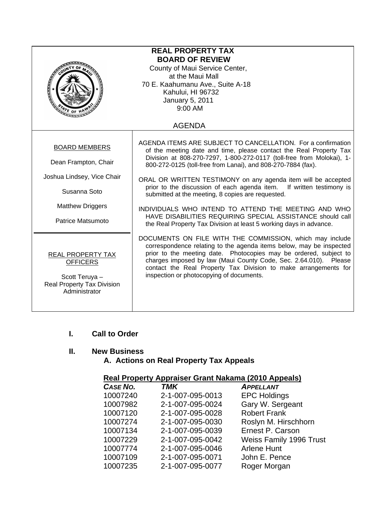| <b>REAL PROPERTY TAX</b><br><b>BOARD OF REVIEW</b><br>County of Maui Service Center,<br>at the Maui Mall<br>70 E. Kaahumanu Ave., Suite A-18<br>Kahului, HI 96732<br>January 5, 2011<br>9:00 AM<br>ATE OF H |                                                                                                                                                                                                                                                                                                                                                                                                                                                                                                                                                                                                                                                                       |  |
|-------------------------------------------------------------------------------------------------------------------------------------------------------------------------------------------------------------|-----------------------------------------------------------------------------------------------------------------------------------------------------------------------------------------------------------------------------------------------------------------------------------------------------------------------------------------------------------------------------------------------------------------------------------------------------------------------------------------------------------------------------------------------------------------------------------------------------------------------------------------------------------------------|--|
|                                                                                                                                                                                                             | <b>AGENDA</b>                                                                                                                                                                                                                                                                                                                                                                                                                                                                                                                                                                                                                                                         |  |
| <b>BOARD MEMBERS</b><br>Dean Frampton, Chair<br>Joshua Lindsey, Vice Chair<br>Susanna Soto<br><b>Matthew Driggers</b><br>Patrice Matsumoto                                                                  | AGENDA ITEMS ARE SUBJECT TO CANCELLATION. For a confirmation<br>of the meeting date and time, please contact the Real Property Tax<br>Division at 808-270-7297, 1-800-272-0117 (toll-free from Molokai), 1-<br>800-272-0125 (toll-free from Lanai), and 808-270-7884 (fax).<br>ORAL OR WRITTEN TESTIMONY on any agenda item will be accepted<br>prior to the discussion of each agenda item. If written testimony is<br>submitted at the meeting, 8 copies are requested.<br>INDIVIDUALS WHO INTEND TO ATTEND THE MEETING AND WHO<br>HAVE DISABILITIES REQUIRING SPECIAL ASSISTANCE should call<br>the Real Property Tax Division at least 5 working days in advance. |  |
| REAL PROPERTY TAX<br><b>OFFICERS</b><br>Scott Teruya -<br>Real Property Tax Division<br>Administrator                                                                                                       | DOCUMENTS ON FILE WITH THE COMMISSION, which may include<br>correspondence relating to the agenda items below, may be inspected<br>prior to the meeting date. Photocopies may be ordered, subject to<br>charges imposed by law (Maui County Code, Sec. 2.64.010).<br>Please<br>contact the Real Property Tax Division to make arrangements for<br>inspection or photocopying of documents.                                                                                                                                                                                                                                                                            |  |

# **I. Call to Order**

# **II. New Business**

# **A. Actions on Real Property Tax Appeals**

# **Real Property Appraiser Grant Nakama (2010 Appeals)**

| CASE NO. | <b>TMK</b>       | <b>APPELLANT</b>               |
|----------|------------------|--------------------------------|
| 10007240 | 2-1-007-095-0013 | <b>EPC Holdings</b>            |
| 10007982 | 2-1-007-095-0024 | Gary W. Sergeant               |
| 10007120 | 2-1-007-095-0028 | <b>Robert Frank</b>            |
| 10007274 | 2-1-007-095-0030 | Roslyn M. Hirschhorn           |
| 10007134 | 2-1-007-095-0039 | Ernest P. Carson               |
| 10007229 | 2-1-007-095-0042 | <b>Weiss Family 1996 Trust</b> |
| 10007774 | 2-1-007-095-0046 | <b>Arlene Hunt</b>             |
| 10007109 | 2-1-007-095-0071 | John E. Pence                  |
| 10007235 | 2-1-007-095-0077 | Roger Morgan                   |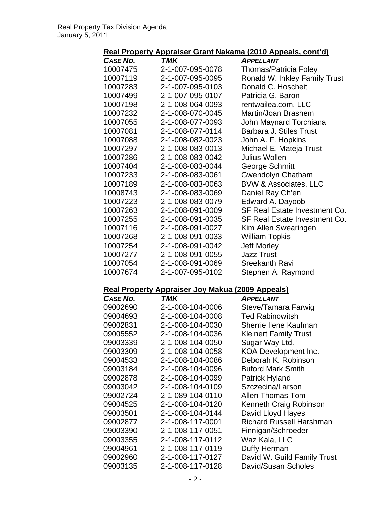# **Real Property Appraiser Grant Nakama (2010 Appeals, cont'd)**

| CASE NO. | <b>TMK</b>       | <b>APPELLANT</b>                 |
|----------|------------------|----------------------------------|
| 10007475 | 2-1-007-095-0078 | <b>Thomas/Patricia Foley</b>     |
| 10007119 | 2-1-007-095-0095 | Ronald W. Inkley Family Trust    |
| 10007283 | 2-1-007-095-0103 | Donald C. Hoscheit               |
| 10007499 | 2-1-007-095-0107 | Patricia G. Baron                |
| 10007198 | 2-1-008-064-0093 | rentwailea.com, LLC              |
| 10007232 | 2-1-008-070-0045 | Martin/Joan Brashem              |
| 10007055 | 2-1-008-077-0093 | John Maynard Torchiana           |
| 10007081 | 2-1-008-077-0114 | Barbara J. Stiles Trust          |
| 10007088 | 2-1-008-082-0023 | John A. F. Hopkins               |
| 10007297 | 2-1-008-083-0013 | Michael E. Mateja Trust          |
| 10007286 | 2-1-008-083-0042 | Julius Wollen                    |
| 10007404 | 2-1-008-083-0044 | George Schmitt                   |
| 10007233 | 2-1-008-083-0061 | <b>Gwendolyn Chatham</b>         |
| 10007189 | 2-1-008-083-0063 | <b>BVW &amp; Associates, LLC</b> |
| 10008743 | 2-1-008-083-0069 | Daniel Ray Ch'en                 |
| 10007223 | 2-1-008-083-0079 | Edward A. Dayoob                 |
| 10007263 | 2-1-008-091-0009 | SF Real Estate Investment Co.    |
| 10007255 | 2-1-008-091-0035 | SF Real Estate Investment Co.    |
| 10007116 | 2-1-008-091-0027 | Kim Allen Swearingen             |
| 10007268 | 2-1-008-091-0033 | <b>William Topkis</b>            |
| 10007254 | 2-1-008-091-0042 | <b>Jeff Morley</b>               |
| 10007277 | 2-1-008-091-0055 | <b>Jazz Trust</b>                |
| 10007054 | 2-1-008-091-0069 | <b>Sreekanth Ravi</b>            |
| 10007674 | 2-1-007-095-0102 | Stephen A. Raymond               |

# **Real Property Appraiser Joy Makua (2009 Appeals)**

| CASE NO. | TMK              | <b>APPELLANT</b>                |
|----------|------------------|---------------------------------|
| 09002690 | 2-1-008-104-0006 | Steve/Tamara Farwig             |
| 09004693 | 2-1-008-104-0008 | <b>Ted Rabinowitsh</b>          |
| 09002831 | 2-1-008-104-0030 | <b>Sherrie Ilene Kaufman</b>    |
| 09005552 | 2-1-008-104-0036 | <b>Kleinert Family Trust</b>    |
| 09003339 | 2-1-008-104-0050 | Sugar Way Ltd.                  |
| 09003309 | 2-1-008-104-0058 | KOA Development Inc.            |
| 09004533 | 2-1-008-104-0086 | Deborah K. Robinson             |
| 09003184 | 2-1-008-104-0096 | <b>Buford Mark Smith</b>        |
| 09002878 | 2-1-008-104-0099 | Patrick Hyland                  |
| 09003042 | 2-1-008-104-0109 | Szczecina/Larson                |
| 09002724 | 2-1-089-104-0110 | Allen Thomas Tom                |
| 09004525 | 2-1-008-104-0120 | Kenneth Craig Robinson          |
| 09003501 | 2-1-008-104-0144 | David Lloyd Hayes               |
| 09002877 | 2-1-008-117-0001 | <b>Richard Russell Harshman</b> |
| 09003390 | 2-1-008-117-0051 | Finnigan/Schroeder              |
| 09003355 | 2-1-008-117-0112 | Waz Kala, LLC                   |
| 09004961 | 2-1-008-117-0119 | Duffy Herman                    |
| 09002960 | 2-1-008-117-0127 | David W. Guild Family Trust     |
| 09003135 | 2-1-008-117-0128 | David/Susan Scholes             |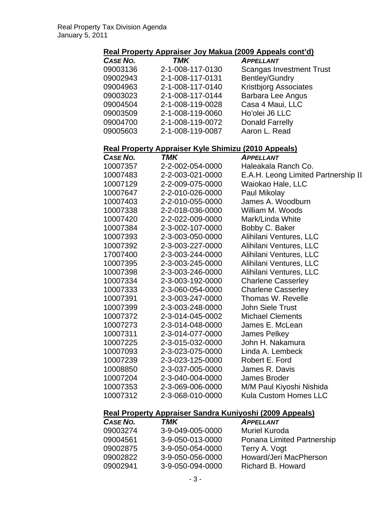#### **Real Property Appraiser Joy Makua (2009 Appeals cont'd)**

| CASE NO. | <b>TMK</b>       | <b>APPELLANT</b>                |
|----------|------------------|---------------------------------|
| 09003136 | 2-1-008-117-0130 | <b>Scangas Investment Trust</b> |
| 09002943 | 2-1-008-117-0131 | <b>Bentley/Gundry</b>           |
| 09004963 | 2-1-008-117-0140 | <b>Kristbjorg Associates</b>    |
| 09003023 | 2-1-008-117-0144 | Barbara Lee Angus               |
| 09004504 | 2-1-008-119-0028 | Casa 4 Maui, LLC                |
| 09003509 | 2-1-008-119-0060 | Ho'olei J6 LLC                  |
| 09004700 | 2-1-008-119-0072 | <b>Donald Farrelly</b>          |
| 09005603 | 2-1-008-119-0087 | Aaron L. Read                   |
|          |                  |                                 |

# **Real Property Appraiser Kyle Shimizu (2010 Appeals)**

| <b>CASE NO.</b> | TMK              | <b>APPELLANT</b>                    |
|-----------------|------------------|-------------------------------------|
| 10007357        | 2-2-002-054-0000 | Haleakala Ranch Co.                 |
| 10007483        | 2-2-003-021-0000 | E.A.H. Leong Limited Partnership II |
| 10007129        | 2-2-009-075-0000 | Waiokao Hale, LLC                   |
| 10007647        | 2-2-010-026-0000 | Paul Mikolay                        |
| 10007403        | 2-2-010-055-0000 | James A. Woodburn                   |
| 10007338        | 2-2-018-036-0000 | William M. Woods                    |
| 10007420        | 2-2-022-009-0000 | Mark/Linda White                    |
| 10007384        | 2-3-002-107-0000 | Bobby C. Baker                      |
| 10007393        | 2-3-003-050-0000 | Alihilani Ventures, LLC             |
| 10007392        | 2-3-003-227-0000 | Alihilani Ventures, LLC             |
| 17007400        | 2-3-003-244-0000 | Alihilani Ventures, LLC             |
| 10007395        | 2-3-003-245-0000 | Alihilani Ventures, LLC             |
| 10007398        | 2-3-003-246-0000 | Alihilani Ventures, LLC             |
| 10007334        | 2-3-003-192-0000 | <b>Charlene Casserley</b>           |
| 10007333        | 2-3-060-054-0000 | <b>Charlene Casserley</b>           |
| 10007391        | 2-3-003-247-0000 | Thomas W. Revelle                   |
| 10007399        | 2-3-003-248-0000 | John Siele Trust                    |
| 10007372        | 2-3-014-045-0002 | <b>Michael Clements</b>             |
| 10007273        | 2-3-014-048-0000 | James E. McLean                     |
| 10007311        | 2-3-014-077-0000 | James Pelkey                        |
| 10007225        | 2-3-015-032-0000 | John H. Nakamura                    |
| 10007093        | 2-3-023-075-0000 | Linda A. Lembeck                    |
| 10007239        | 2-3-023-125-0000 | Robert E. Ford                      |
| 10008850        | 2-3-037-005-0000 | James R. Davis                      |
| 10007204        | 2-3-040-004-0000 | James Broder                        |
| 10007353        | 2-3-069-006-0000 | M/M Paul Kiyoshi Nishida            |
| 10007312        | 2-3-068-010-0000 | Kula Custom Homes LLC               |
|                 |                  |                                     |

# **Real Property Appraiser Sandra Kuniyoshi (2009 Appeals)**

| CASE NO. | TMK              | <b>APPELLANT</b>           |
|----------|------------------|----------------------------|
| 09003274 | 3-9-049-005-0000 | <b>Muriel Kuroda</b>       |
| 09004561 | 3-9-050-013-0000 | Ponana Limited Partnership |
| 09002875 | 3-9-050-054-0000 | Terry A. Vogt              |
| 09002822 | 3-9-050-056-0000 | Howard/Jeri MacPherson     |
| 09002941 | 3-9-050-094-0000 | Richard B. Howard          |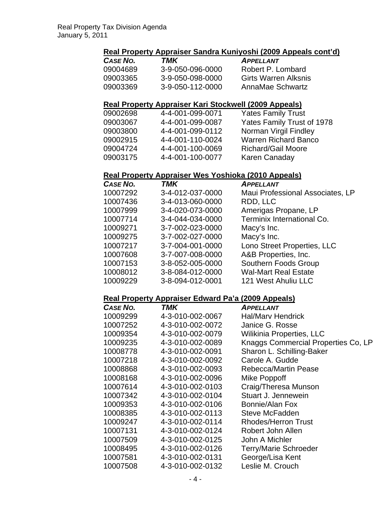# **Real Property Appraiser Sandra Kuniyoshi (2009 Appeals cont'd)**

| CASE NO. | TMK              | <b>APPFILANT</b>            |
|----------|------------------|-----------------------------|
| 09004689 | 3-9-050-096-0000 | Robert P. Lombard           |
| 09003365 | 3-9-050-098-0000 | <b>Girts Warren Alksnis</b> |
| 09003369 | 3-9-050-112-0000 | AnnaMae Schwartz            |

#### **Real Property Appraiser Kari Stockwell (2009 Appeals)**

| 09002698 | 4-4-001-099-0071 | <b>Yates Family Trust</b>   |
|----------|------------------|-----------------------------|
| 09003067 | 4-4-001-099-0087 | Yates Family Trust of 1978  |
| 09003800 | 4-4-001-099-0112 | Norman Virgil Findley       |
| 09002915 | 4-4-001-110-0024 | <b>Warren Richard Banco</b> |
| 09004724 | 4-4-001-100-0069 | <b>Richard/Gail Moore</b>   |
| 09003175 | 4-4-001-100-0077 | Karen Canaday               |

#### **Real Property Appraiser Wes Yoshioka (2010 Appeals)**

| CASE NO. | <b>TMK</b>       | <b>APPELLANT</b>                 |
|----------|------------------|----------------------------------|
| 10007292 | 3-4-012-037-0000 | Maui Professional Associates, LP |
| 10007436 | 3-4-013-060-0000 | RDD, LLC                         |
| 10007999 | 3-4-020-073-0000 | Amerigas Propane, LP             |
| 10007714 | 3-4-044-034-0000 | Terminix International Co.       |
| 10009271 | 3-7-002-023-0000 | Macy's Inc.                      |
| 10009275 | 3-7-002-027-0000 | Macy's Inc.                      |
| 10007217 | 3-7-004-001-0000 | Lono Street Properties, LLC      |
| 10007608 | 3-7-007-008-0000 | A&B Properties, Inc.             |
| 10007153 | 3-8-052-005-0000 | Southern Foods Group             |
| 10008012 | 3-8-084-012-0000 | <b>Wal-Mart Real Estate</b>      |
| 10009229 | 3-8-094-012-0001 | 121 West Ahuliu LLC              |

#### **Real Property Appraiser Edward Pa'a (2009 Appeals)**

| CASE NO. | TMK              | <b>APPELLANT</b>                    |
|----------|------------------|-------------------------------------|
| 10009299 | 4-3-010-002-0067 | <b>Hal/Mary Hendrick</b>            |
| 10007252 | 4-3-010-002-0072 | Janice G. Rosse                     |
| 10009354 | 4-3-010-002-0079 | <b>Wilikinia Properties, LLC</b>    |
| 10009235 | 4-3-010-002-0089 | Knaggs Commercial Properties Co, LP |
| 10008778 | 4-3-010-002-0091 | Sharon L. Schilling-Baker           |
| 10007218 | 4-3-010-002-0092 | Carole A. Gudde                     |
| 10008868 | 4-3-010-002-0093 | <b>Rebecca/Martin Pease</b>         |
| 10008168 | 4-3-010-002-0096 | Mike Poppoff                        |
| 10007614 | 4-3-010-002-0103 | Craig/Theresa Munson                |
| 10007342 | 4-3-010-002-0104 | Stuart J. Jennewein                 |
| 10009353 | 4-3-010-002-0106 | Bonnie/Alan Fox                     |
| 10008385 | 4-3-010-002-0113 | Steve McFadden                      |
| 10009247 | 4-3-010-002-0114 | <b>Rhodes/Herron Trust</b>          |
| 10007131 | 4-3-010-002-0124 | Robert John Allen                   |
| 10007509 | 4-3-010-002-0125 | John A Michler                      |
| 10008495 | 4-3-010-002-0126 | <b>Terry/Marie Schroeder</b>        |
| 10007581 | 4-3-010-002-0131 | George/Lisa Kent                    |
| 10007508 | 4-3-010-002-0132 | Leslie M. Crouch                    |
|          |                  |                                     |